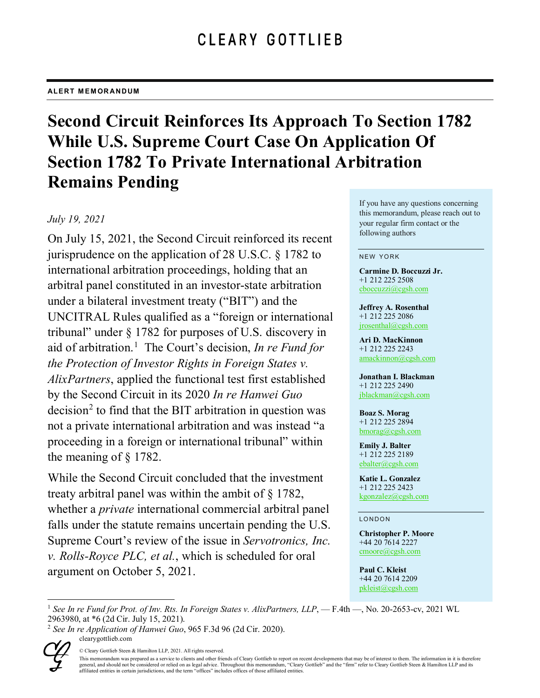# **Second Circuit Reinforces Its Approach To Section 1782 While U.S. Supreme Court Case On Application Of Section 1782 To Private International Arbitration Remains Pending**

## *July 19, 2021*

On July 15, 2021, the Second Circuit reinforced its recent jurisprudence on the application of 28 U.S.C. § 1782 to international arbitration proceedings, holding that an arbitral panel constituted in an investor-state arbitration under a bilateral investment treaty ("BIT") and the UNCITRAL Rules qualified as a "foreign or international tribunal" under § 1782 for purposes of U.S. discovery in aid of arbitration. [1](#page-0-0) The Court's decision, *In re Fund for the Protection of Investor Rights in Foreign States v. AlixPartners*, applied the functional test first established by the Second Circuit in its 2020 *In re Hanwei Guo*   $decision<sup>2</sup>$  $decision<sup>2</sup>$  $decision<sup>2</sup>$  to find that the BIT arbitration in question was not a private international arbitration and was instead "a proceeding in a foreign or international tribunal" within the meaning of § 1782.

While the Second Circuit concluded that the investment treaty arbitral panel was within the ambit of § 1782, whether a *private* international commercial arbitral panel falls under the statute remains uncertain pending the U.S. Supreme Court's review of the issue in *Servotronics, Inc. v. Rolls-Royce PLC, et al.*, which is scheduled for oral argument on October 5, 2021.

If you have any questions concerning this memorandum, please reach out to your regular firm contact or the following authors

#### NEW YORK

**Carmine D. Boccuzzi Jr.** +1 212 225 2508 [cboccuzzi@cgsh.com](mailto:cboccuzzi@cgsh.com)

**Jeffrey A. Rosenthal** +1 212 225 2086 [jrosenthal@cgsh.com](mailto:jrosenthal@cgsh.com)

**Ari D. MacKinnon** +1 212 225 2243 [amackinnon@cgsh.com](mailto:amackinnon@cgsh.com)

**Jonathan I. Blackman** +1 212 225 2490 [jblackman@cgsh.com](mailto:jblackman@cgsh.com)

**Boaz S. Morag** +1 212 225 2894 [bmorag@cgsh.com](mailto:bmorag@cgsh.com)

**Emily J. Balter** +1 212 225 2189 [ebalter@cgsh.com](mailto:ebalter@cgsh.com)

**Katie L. Gonzalez** +1 212 225 2423 [kgonzalez@cgsh.com](mailto:kgonzalez@cgsh.com)

#### LONDON

**Christopher P. Moore** +44 20 7614 2227 [cmoore@cgsh.com](mailto:cmoore@cgsh.com)

**Paul C. Kleist** +44 20 7614 2209 [pkleist@cgsh.com](mailto:pkleist@cgsh.com)

<span id="page-0-1"></span>clearygottlieb.com <sup>2</sup> *See In re Application of Hanwei Guo*, 965 F.3d 96 (2d Cir. 2020).



© Cleary Gottlieb Steen & Hamilton LLP, 2021. All rights reserved.

<span id="page-0-0"></span><sup>&</sup>lt;sup>1</sup> See In re Fund for Prot. of Inv. Rts. In Foreign States *v. AlixPartners, LLP*, - F.4th -, No. 20-2653-cv, 2021 WL 2963980, at \*6 (2d Cir. July 15, 2021).

This memorandum was prepared as a service to clients and other friends of Cleary Gottlieb to report on recent developments that may be of interest to them. The information in it is therefore general, and should not be considered or relied on as legal advice. Throughout this memorandum, "Cleary Gottlieb" and the "firm" refer to Cleary Gottlieb Steen & Hamilton LLP and its affiliated entities in certain jurisdictions, and the term "offices" includes offices of those affiliated entities.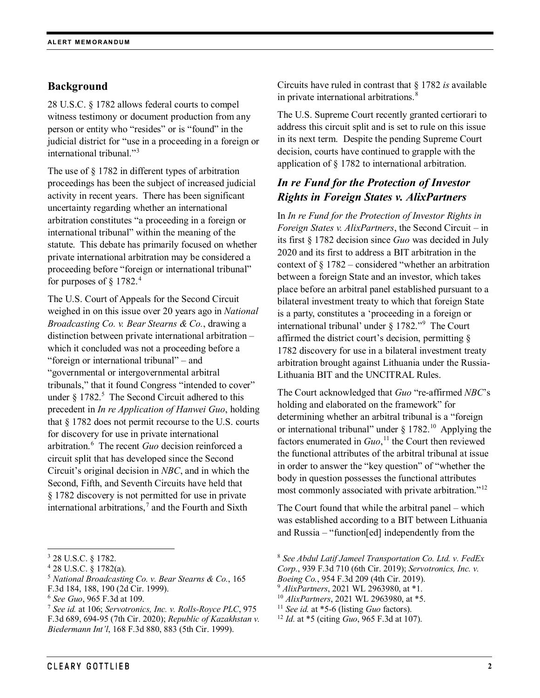## **Background**

28 U.S.C. § 1782 allows federal courts to compel witness testimony or document production from any person or entity who "resides" or is "found" in the judicial district for "use in a proceeding in a foreign or international tribunal."[3](#page-1-0)

The use of § 1782 in different types of arbitration proceedings has been the subject of increased judicial activity in recent years. There has been significant uncertainty regarding whether an international arbitration constitutes "a proceeding in a foreign or international tribunal" within the meaning of the statute. This debate has primarily focused on whether private international arbitration may be considered a proceeding before "foreign or international tribunal" for purposes of  $\S 1782.<sup>4</sup>$  $\S 1782.<sup>4</sup>$  $\S 1782.<sup>4</sup>$ 

The U.S. Court of Appeals for the Second Circuit weighed in on this issue over 20 years ago in *National Broadcasting Co. v. Bear Stearns & Co.*, drawing a distinction between private international arbitration – which it concluded was not a proceeding before a "foreign or international tribunal" – and "governmental or intergovernmental arbitral tribunals," that it found Congress "intended to cover" under  $\S 1782$ .<sup>[5](#page-1-2)</sup> The Second Circuit adhered to this precedent in *In re Application of Hanwei Guo*, holding that § 1782 does not permit recourse to the U.S. courts for discovery for use in private international arbitration.[6](#page-1-3) The recent *Guo* decision reinforced a circuit split that has developed since the Second Circuit's original decision in *NBC*, and in which the Second, Fifth, and Seventh Circuits have held that § 1782 discovery is not permitted for use in private international arbitrations, $^7$  $^7$  and the Fourth and Sixth

Circuits have ruled in contrast that § 1782 *is* available in private international arbitrations.<sup>[8](#page-1-0)</sup>

The U.S. Supreme Court recently granted certiorari to address this circuit split and is set to rule on this issue in its next term. Despite the pending Supreme Court decision, courts have continued to grapple with the application of § 1782 to international arbitration.

# *In re Fund for the Protection of Investor Rights in Foreign States v. AlixPartners*

In *In re Fund for the Protection of Investor Rights in Foreign States v. AlixPartners*, the Second Circuit – in its first § 1782 decision since *Guo* was decided in July 2020 and its first to address a BIT arbitration in the context of § 1782 – considered "whether an arbitration between a foreign State and an investor, which takes place before an arbitral panel established pursuant to a bilateral investment treaty to which that foreign State is a party, constitutes a 'proceeding in a foreign or international tribunal' under § 1782."[9](#page-1-5) The Court affirmed the district court's decision, permitting § 1782 discovery for use in a bilateral investment treaty arbitration brought against Lithuania under the Russia-Lithuania BIT and the UNCITRAL Rules.

The Court acknowledged that *Guo* "re-affirmed *NBC*'s holding and elaborated on the framework" for determining whether an arbitral tribunal is a "foreign or international tribunal" under  $\S 1782$ .<sup>10</sup> Applying the factors enumerated in *Guo*, [11](#page-1-4) the Court then reviewed the functional attributes of the arbitral tribunal at issue in order to answer the "key question" of "whether the body in question possesses the functional attributes most commonly associated with private arbitration."<sup>[12](#page-1-6)</sup>

The Court found that while the arbitral panel – which was established according to a BIT between Lithuania and Russia – "function[ed] independently from the

<span id="page-1-0"></span> <sup>3</sup> 28 U.S.C. § 1782.

<span id="page-1-1"></span><sup>4</sup> 28 U.S.C. § 1782(a).

<span id="page-1-2"></span><sup>5</sup> *National Broadcasting Co. v. Bear Stearns & Co.*, 165

<span id="page-1-5"></span>F.3d 184, 188, 190 (2d Cir. 1999).

<span id="page-1-3"></span><sup>6</sup> *See Guo*, 965 F.3d at 109.

<span id="page-1-6"></span><span id="page-1-4"></span><sup>7</sup> *See id.* at 106; *Servotronics, Inc. v. Rolls-Royce PLC*, 975 F.3d 689, 694-95 (7th Cir. 2020); *Republic of Kazakhstan v. Biedermann Int'l*, 168 F.3d 880, 883 (5th Cir. 1999).

<sup>8</sup> *See Abdul Latif Jameel Transportation Co. Ltd. v. FedEx* 

*Corp.*, 939 F.3d 710 (6th Cir. 2019); *Servotronics, Inc. v.* 

*Boeing Co.*, 954 F.3d 209 (4th Cir. 2019).

<sup>9</sup> *AlixPartners*, 2021 WL 2963980, at \*1.

<sup>10</sup> *AlixPartners*, 2021 WL 2963980, at \*5.

<sup>11</sup> *See id.* at \*5-6 (listing *Guo* factors).

<sup>12</sup> *Id.* at \*5 (citing *Guo*, 965 F.3d at 107).